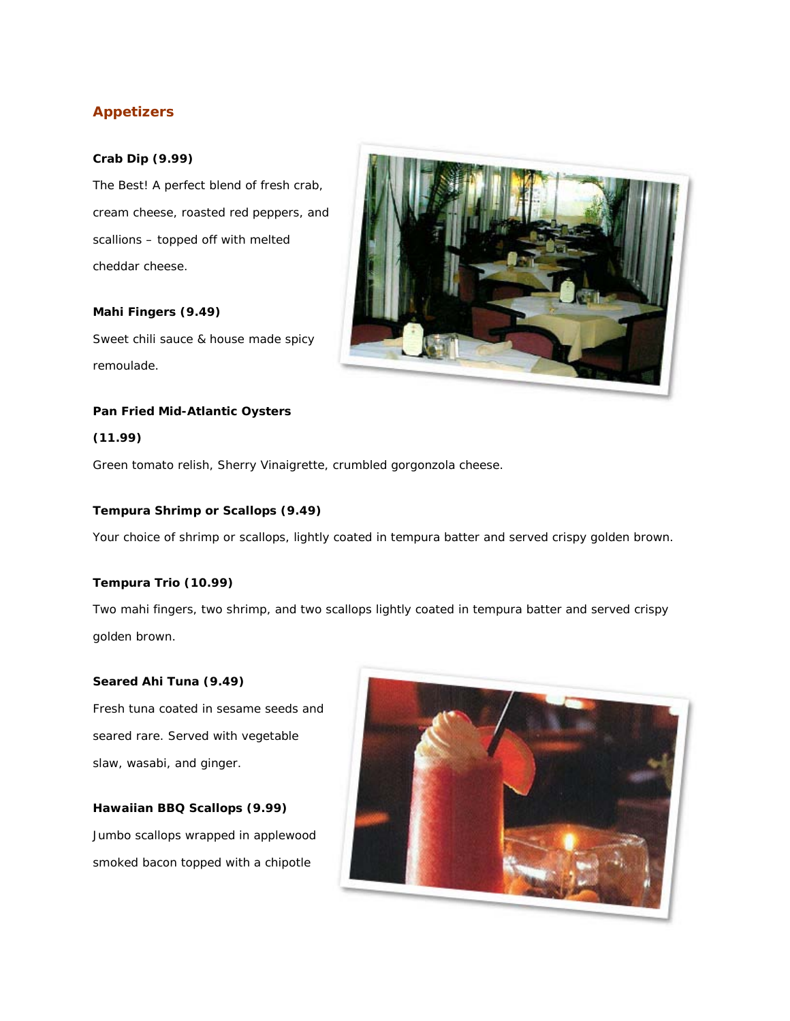# **Appetizers**

# **Crab Dip (9.99)**

The Best! A perfect blend of fresh crab, cream cheese, roasted red peppers, and scallions – topped off with melted cheddar cheese.

# **Mahi Fingers (9.49)**

Sweet chili sauce & house made spicy remoulade.

# **Pan Fried Mid-Atlantic Oysters**

## **(11.99)**

Green tomato relish, Sherry Vinaigrette, crumbled gorgonzola cheese.

## **Tempura Shrimp or Scallops (9.49)**

Your choice of shrimp or scallops, lightly coated in tempura batter and served crispy golden brown.

## **Tempura Trio (10.99)**

Two mahi fingers, two shrimp, and two scallops lightly coated in tempura batter and served crispy golden brown.

#### **Seared Ahi Tuna (9.49)**

Fresh tuna coated in sesame seeds and seared rare. Served with vegetable slaw, wasabi, and ginger.

# **Hawaiian BBQ Scallops (9.99)**

Jumbo scallops wrapped in applewood smoked bacon topped with a chipotle



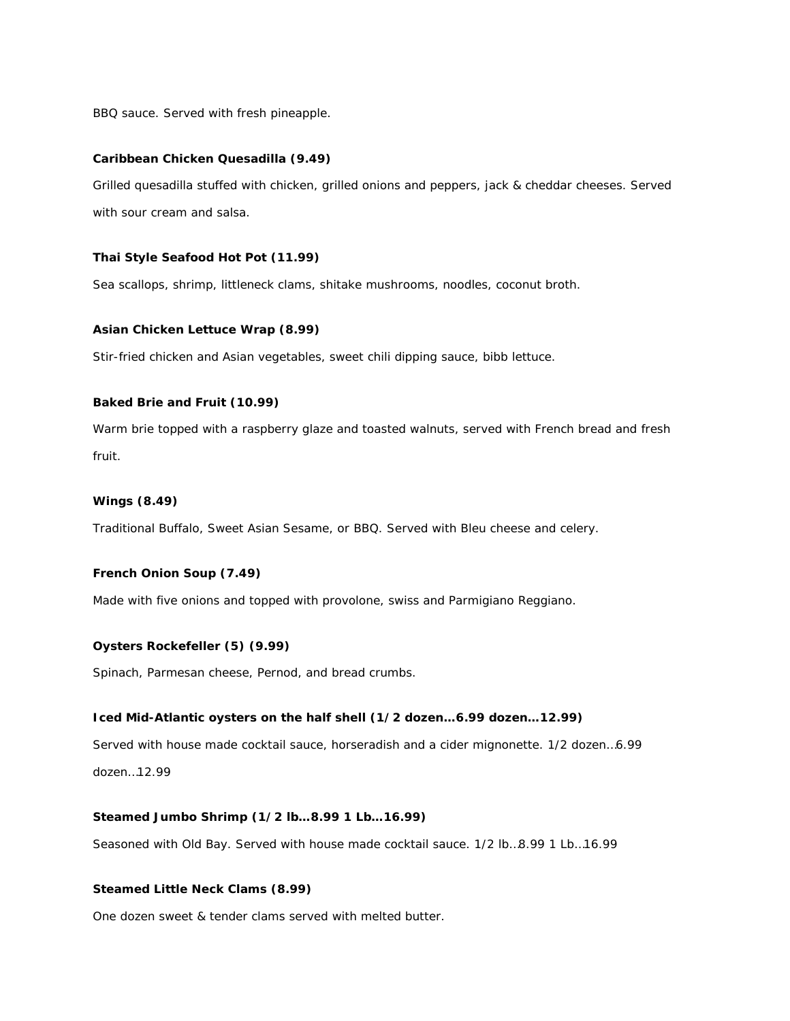BBQ sauce. Served with fresh pineapple.

#### **Caribbean Chicken Quesadilla (9.49)**

Grilled quesadilla stuffed with chicken, grilled onions and peppers, jack & cheddar cheeses. Served with sour cream and salsa.

#### **Thai Style Seafood Hot Pot (11.99)**

Sea scallops, shrimp, littleneck clams, shitake mushrooms, noodles, coconut broth.

#### **Asian Chicken Lettuce Wrap (8.99)**

Stir-fried chicken and Asian vegetables, sweet chili dipping sauce, bibb lettuce.

## **Baked Brie and Fruit (10.99)**

Warm brie topped with a raspberry glaze and toasted walnuts, served with French bread and fresh fruit.

#### **Wings (8.49)**

Traditional Buffalo, Sweet Asian Sesame, or BBQ. Served with Bleu cheese and celery.

#### **French Onion Soup (7.49)**

Made with five onions and topped with provolone, swiss and Parmigiano Reggiano.

#### **Oysters Rockefeller (5) (9.99)**

Spinach, Parmesan cheese, Pernod, and bread crumbs.

#### **Iced Mid-Atlantic oysters on the half shell (1/2 dozen…6.99 dozen…12.99)**

Served with house made cocktail sauce, horseradish and a cider mignonette. 1/2 dozen…6.99 dozen…12.99

## **Steamed Jumbo Shrimp (1/2 lb…8.99 1 Lb…16.99)**

Seasoned with Old Bay. Served with house made cocktail sauce. 1/2 lb…8.99 1 Lb…16.99

#### **Steamed Little Neck Clams (8.99)**

One dozen sweet & tender clams served with melted butter.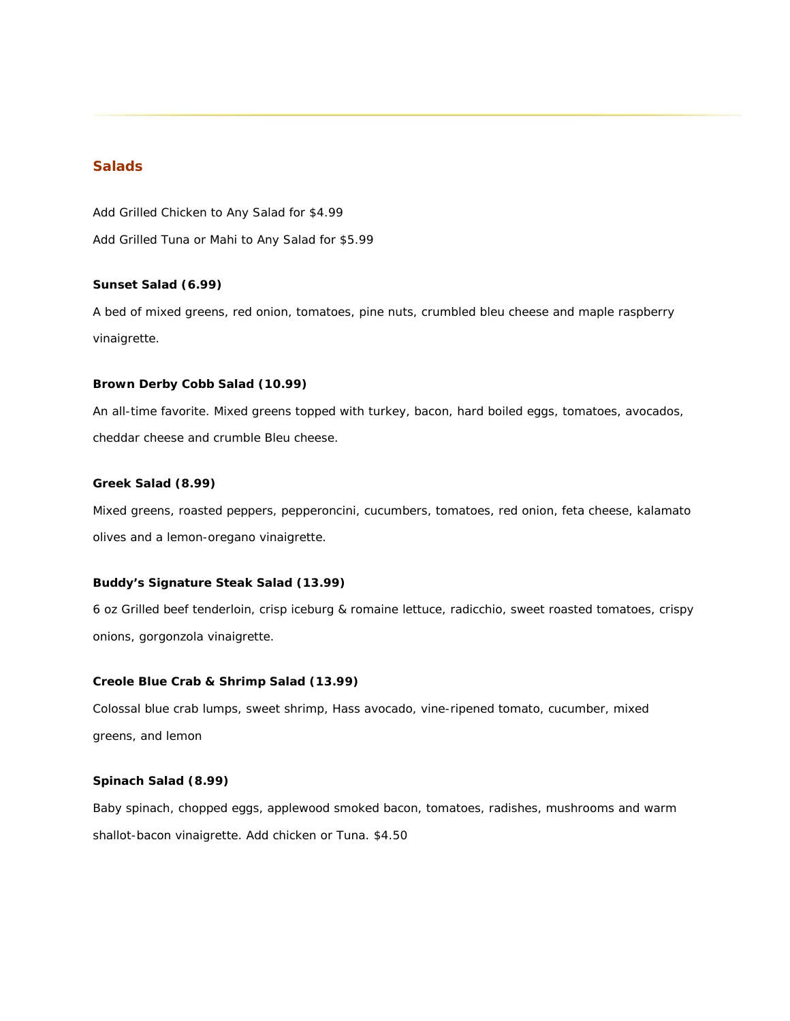# **Salads**

*Add Grilled Chicken to Any Salad for \$4.99 Add Grilled Tuna or Mahi to Any Salad for \$5.99*

#### **Sunset Salad (6.99)**

A bed of mixed greens, red onion, tomatoes, pine nuts, crumbled bleu cheese and maple raspberry vinaigrette.

#### **Brown Derby Cobb Salad (10.99)**

An all-time favorite. Mixed greens topped with turkey, bacon, hard boiled eggs, tomatoes, avocados, cheddar cheese and crumble Bleu cheese.

#### **Greek Salad (8.99)**

Mixed greens, roasted peppers, pepperoncini, cucumbers, tomatoes, red onion, feta cheese, kalamato olives and a lemon-oregano vinaigrette.

## **Buddy's Signature Steak Salad (13.99)**

6 oz Grilled beef tenderloin, crisp iceburg & romaine lettuce, radicchio, sweet roasted tomatoes, crispy onions, gorgonzola vinaigrette.

## **Creole Blue Crab & Shrimp Salad (13.99)**

Colossal blue crab lumps, sweet shrimp, Hass avocado, vine-ripened tomato, cucumber, mixed greens, and lemon

#### **Spinach Salad (8.99)**

Baby spinach, chopped eggs, applewood smoked bacon, tomatoes, radishes, mushrooms and warm shallot-bacon vinaigrette. Add chicken or Tuna. \$4.50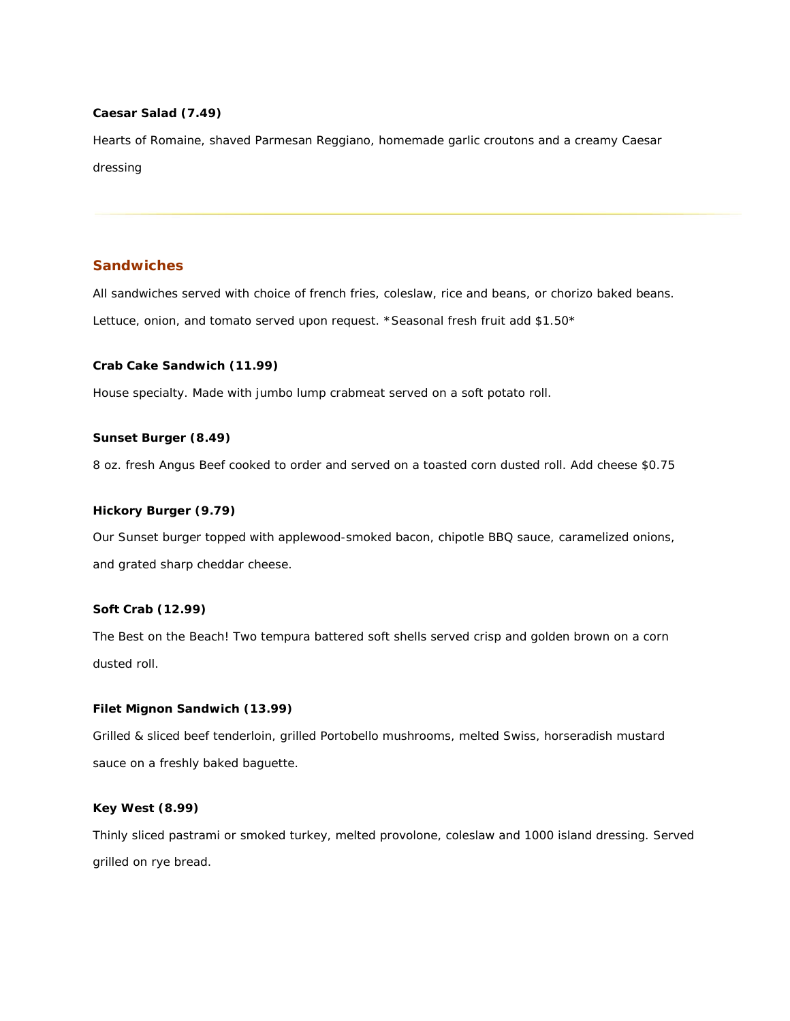## **Caesar Salad (7.49)**

Hearts of Romaine, shaved Parmesan Reggiano, homemade garlic croutons and a creamy Caesar dressing

## **Sandwiches**

*All sandwiches served with choice of french fries, coleslaw, rice and beans, or chorizo baked beans. Lettuce, onion, and tomato served upon request. \*Seasonal fresh fruit add \$1.50\**

#### **Crab Cake Sandwich (11.99)**

House specialty. Made with jumbo lump crabmeat served on a soft potato roll.

## **Sunset Burger (8.49)**

8 oz. fresh Angus Beef cooked to order and served on a toasted corn dusted roll. Add cheese \$0.75

## **Hickory Burger (9.79)**

Our Sunset burger topped with applewood-smoked bacon, chipotle BBQ sauce, caramelized onions, and grated sharp cheddar cheese.

## **Soft Crab (12.99)**

The Best on the Beach! Two tempura battered soft shells served crisp and golden brown on a corn dusted roll.

## **Filet Mignon Sandwich (13.99)**

Grilled & sliced beef tenderloin, grilled Portobello mushrooms, melted Swiss, horseradish mustard sauce on a freshly baked baguette.

# **Key West (8.99)**

Thinly sliced pastrami or smoked turkey, melted provolone, coleslaw and 1000 island dressing. Served grilled on rye bread.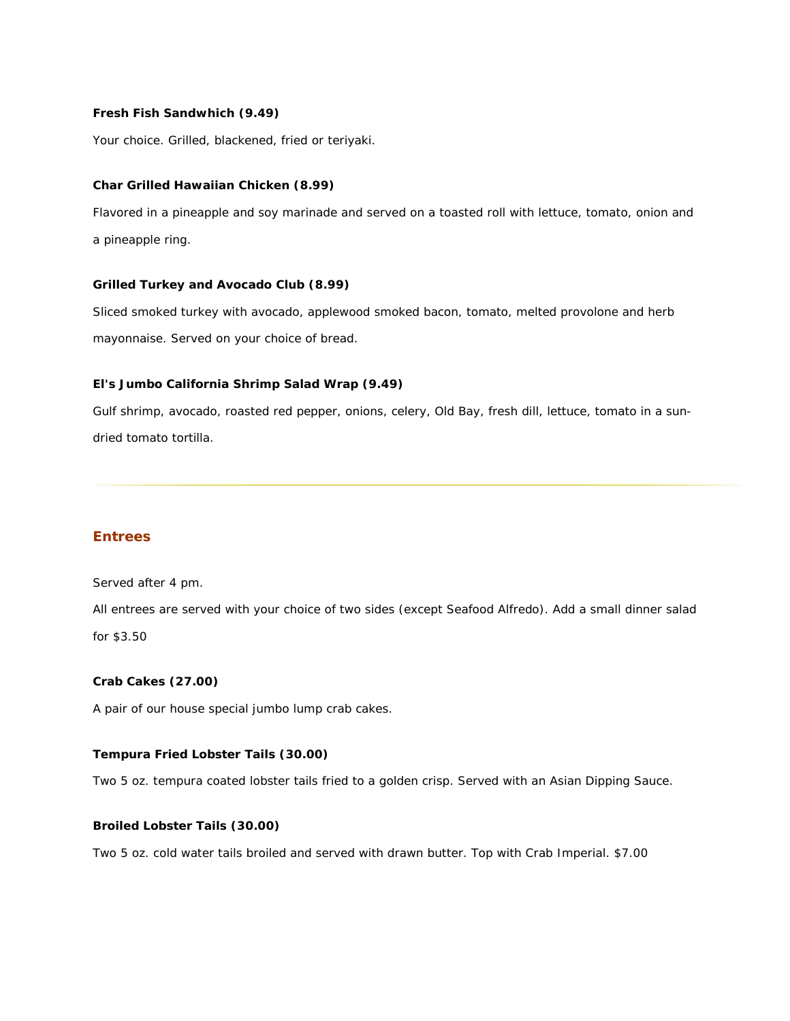## **Fresh Fish Sandwhich (9.49)**

Your choice. Grilled, blackened, fried or teriyaki.

#### **Char Grilled Hawaiian Chicken (8.99)**

Flavored in a pineapple and soy marinade and served on a toasted roll with lettuce, tomato, onion and a pineapple ring.

## **Grilled Turkey and Avocado Club (8.99)**

Sliced smoked turkey with avocado, applewood smoked bacon, tomato, melted provolone and herb mayonnaise. Served on your choice of bread.

#### **El's Jumbo California Shrimp Salad Wrap (9.49)**

Gulf shrimp, avocado, roasted red pepper, onions, celery, Old Bay, fresh dill, lettuce, tomato in a sundried tomato tortilla.

# **Entrees**

Served after 4 pm.

*All entrees are served with your choice of two sides (except Seafood Alfredo). Add a small dinner salad for \$3.50*

## **Crab Cakes (27.00)**

A pair of our house special jumbo lump crab cakes.

## **Tempura Fried Lobster Tails (30.00)**

Two 5 oz. tempura coated lobster tails fried to a golden crisp. Served with an Asian Dipping Sauce.

#### **Broiled Lobster Tails (30.00)**

Two 5 oz. cold water tails broiled and served with drawn butter. Top with Crab Imperial. \$7.00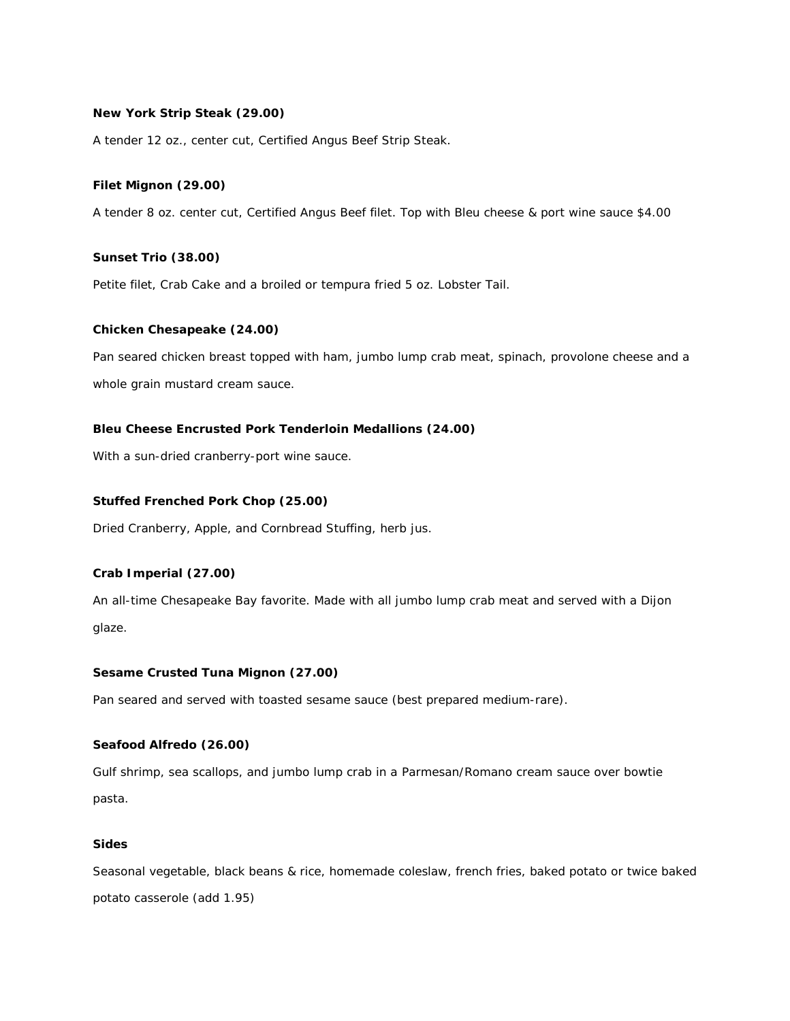## **New York Strip Steak (29.00)**

A tender 12 oz., center cut, Certified Angus Beef Strip Steak.

## **Filet Mignon (29.00)**

A tender 8 oz. center cut, Certified Angus Beef filet. Top with Bleu cheese & port wine sauce \$4.00

#### **Sunset Trio (38.00)**

Petite filet, Crab Cake and a broiled or tempura fried 5 oz. Lobster Tail.

#### **Chicken Chesapeake (24.00)**

Pan seared chicken breast topped with ham, jumbo lump crab meat, spinach, provolone cheese and a whole grain mustard cream sauce.

#### **Bleu Cheese Encrusted Pork Tenderloin Medallions (24.00)**

With a sun-dried cranberry-port wine sauce.

#### **Stuffed Frenched Pork Chop (25.00)**

Dried Cranberry, Apple, and Cornbread Stuffing, herb jus.

#### **Crab Imperial (27.00)**

An all-time Chesapeake Bay favorite. Made with all jumbo lump crab meat and served with a Dijon glaze.

#### **Sesame Crusted Tuna Mignon (27.00)**

Pan seared and served with toasted sesame sauce (best prepared medium-rare).

#### **Seafood Alfredo (26.00)**

Gulf shrimp, sea scallops, and jumbo lump crab in a Parmesan/Romano cream sauce over bowtie pasta.

# **Sides**

Seasonal vegetable, black beans & rice, homemade coleslaw, french fries, baked potato or twice baked potato casserole (add 1.95)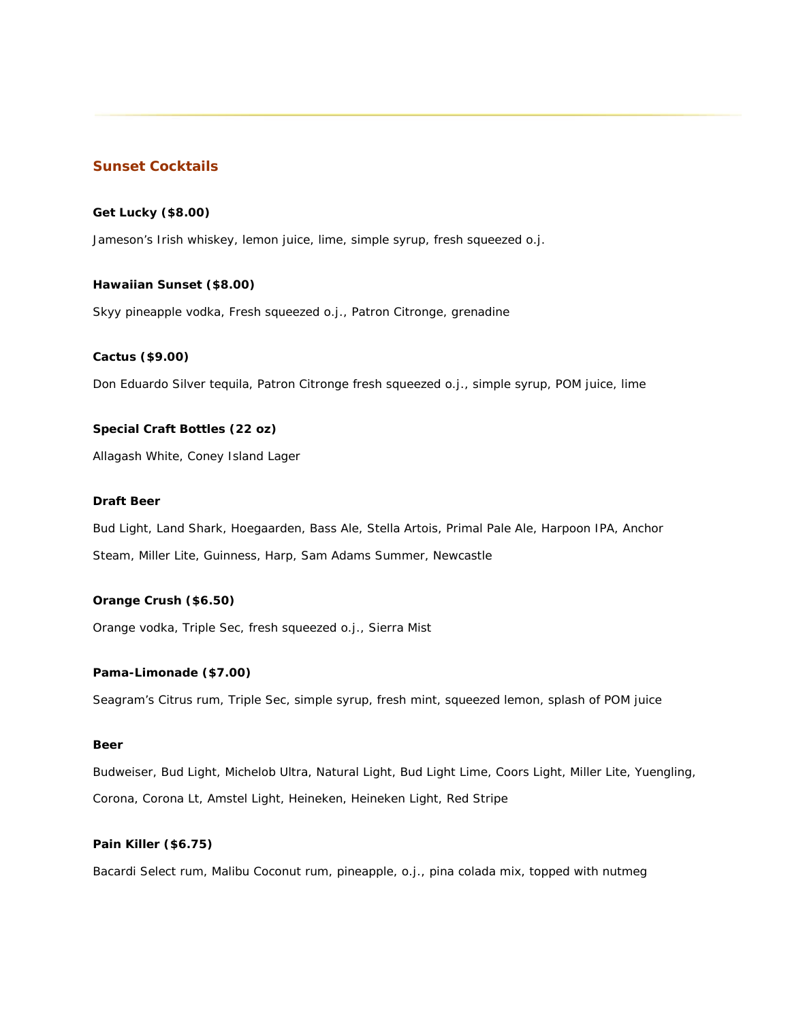## **Sunset Cocktails**

## **Get Lucky (\$8.00)**

Jameson's Irish whiskey, lemon juice, lime, simple syrup, fresh squeezed o.j.

#### **Hawaiian Sunset (\$8.00)**

Skyy pineapple vodka, Fresh squeezed o.j., Patron Citronge, grenadine

#### **Cactus (\$9.00)**

Don Eduardo Silver tequila, Patron Citronge fresh squeezed o.j., simple syrup, POM juice, lime

#### **Special Craft Bottles (22 oz)**

Allagash White, Coney Island Lager

#### **Draft Beer**

Bud Light, Land Shark, Hoegaarden, Bass Ale, Stella Artois, Primal Pale Ale, Harpoon IPA, Anchor Steam, Miller Lite, Guinness, Harp, Sam Adams Summer, Newcastle

#### **Orange Crush (\$6.50)**

Orange vodka, Triple Sec, fresh squeezed o.j., Sierra Mist

## **Pama-Limonade (\$7.00)**

Seagram's Citrus rum, Triple Sec, simple syrup, fresh mint, squeezed lemon, splash of POM juice

## **Beer**

Budweiser, Bud Light, Michelob Ultra, Natural Light, Bud Light Lime, Coors Light, Miller Lite, Yuengling, Corona, Corona Lt, Amstel Light, Heineken, Heineken Light, Red Stripe

## **Pain Killer (\$6.75)**

Bacardi Select rum, Malibu Coconut rum, pineapple, o.j., pina colada mix, topped with nutmeg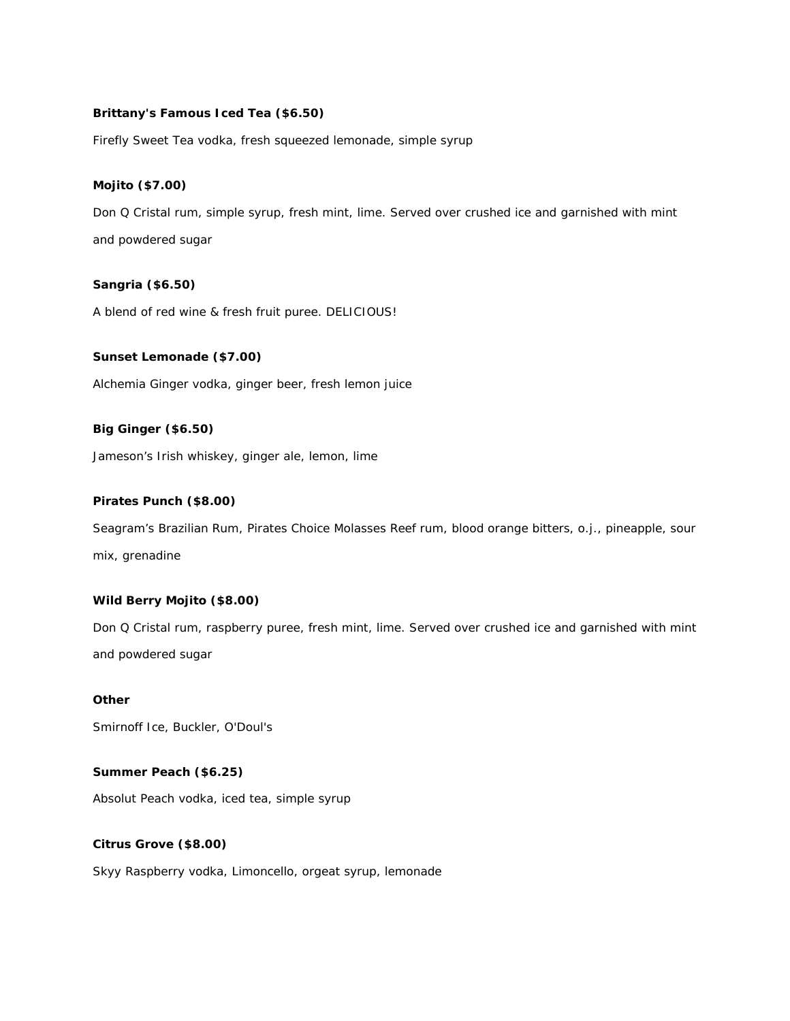## **Brittany's Famous Iced Tea (\$6.50)**

Firefly Sweet Tea vodka, fresh squeezed lemonade, simple syrup

## **Mojito (\$7.00)**

Don Q Cristal rum, simple syrup, fresh mint, lime. Served over crushed ice and garnished with mint and powdered sugar

## **Sangria (\$6.50)**

A blend of red wine & fresh fruit puree. DELICIOUS!

#### **Sunset Lemonade (\$7.00)**

Alchemia Ginger vodka, ginger beer, fresh lemon juice

#### **Big Ginger (\$6.50)**

Jameson's Irish whiskey, ginger ale, lemon, lime

#### **Pirates Punch (\$8.00)**

Seagram's Brazilian Rum, Pirates Choice Molasses Reef rum, blood orange bitters, o.j., pineapple, sour mix, grenadine

## **Wild Berry Mojito (\$8.00)**

Don Q Cristal rum, raspberry puree, fresh mint, lime. Served over crushed ice and garnished with mint and powdered sugar

# **Other** Smirnoff Ice, Buckler, O'Doul's

#### **Summer Peach (\$6.25)**

Absolut Peach vodka, iced tea, simple syrup

## **Citrus Grove (\$8.00)**

Skyy Raspberry vodka, Limoncello, orgeat syrup, lemonade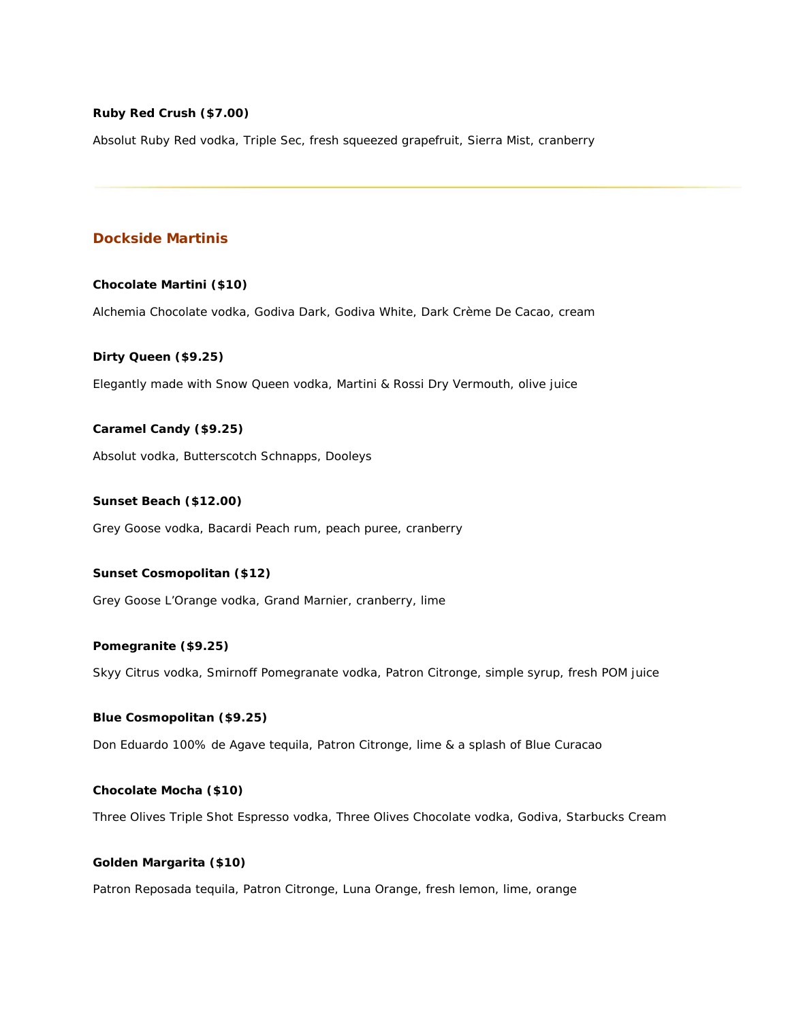## **Ruby Red Crush (\$7.00)**

Absolut Ruby Red vodka, Triple Sec, fresh squeezed grapefruit, Sierra Mist, cranberry

## **Dockside Martinis**

#### **Chocolate Martini (\$10)**

Alchemia Chocolate vodka, Godiva Dark, Godiva White, Dark Crème De Cacao, cream

#### **Dirty Queen (\$9.25)**

Elegantly made with Snow Queen vodka, Martini & Rossi Dry Vermouth, olive juice

#### **Caramel Candy (\$9.25)**

Absolut vodka, Butterscotch Schnapps, Dooleys

#### **Sunset Beach (\$12.00)**

Grey Goose vodka, Bacardi Peach rum, peach puree, cranberry

# **Sunset Cosmopolitan (\$12)**

Grey Goose L'Orange vodka, Grand Marnier, cranberry, lime

## **Pomegranite (\$9.25)**

Skyy Citrus vodka, Smirnoff Pomegranate vodka, Patron Citronge, simple syrup, fresh POM juice

## **Blue Cosmopolitan (\$9.25)**

Don Eduardo 100% de Agave tequila, Patron Citronge, lime & a splash of Blue Curacao

#### **Chocolate Mocha (\$10)**

Three Olives Triple Shot Espresso vodka, Three Olives Chocolate vodka, Godiva, Starbucks Cream

#### **Golden Margarita (\$10)**

Patron Reposada tequila, Patron Citronge, Luna Orange, fresh lemon, lime, orange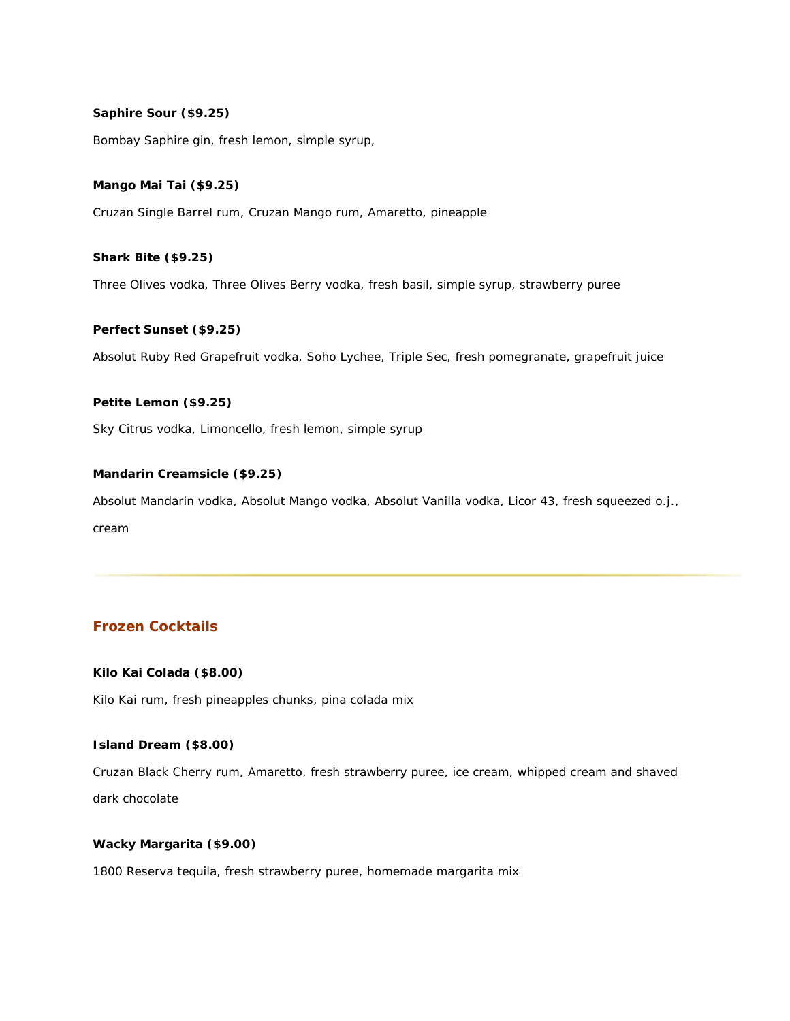## **Saphire Sour (\$9.25)**

Bombay Saphire gin, fresh lemon, simple syrup,

## **Mango Mai Tai (\$9.25)**

Cruzan Single Barrel rum, Cruzan Mango rum, Amaretto, pineapple

## **Shark Bite (\$9.25)**

Three Olives vodka, Three Olives Berry vodka, fresh basil, simple syrup, strawberry puree

#### **Perfect Sunset (\$9.25)**

Absolut Ruby Red Grapefruit vodka, Soho Lychee, Triple Sec, fresh pomegranate, grapefruit juice

#### **Petite Lemon (\$9.25)**

Sky Citrus vodka, Limoncello, fresh lemon, simple syrup

## **Mandarin Creamsicle (\$9.25)**

Absolut Mandarin vodka, Absolut Mango vodka, Absolut Vanilla vodka, Licor 43, fresh squeezed o.j., cream

## **Frozen Cocktails**

## **Kilo Kai Colada (\$8.00)**

Kilo Kai rum, fresh pineapples chunks, pina colada mix

#### **Island Dream (\$8.00)**

Cruzan Black Cherry rum, Amaretto, fresh strawberry puree, ice cream, whipped cream and shaved dark chocolate

# **Wacky Margarita (\$9.00)**

1800 Reserva tequila, fresh strawberry puree, homemade margarita mix